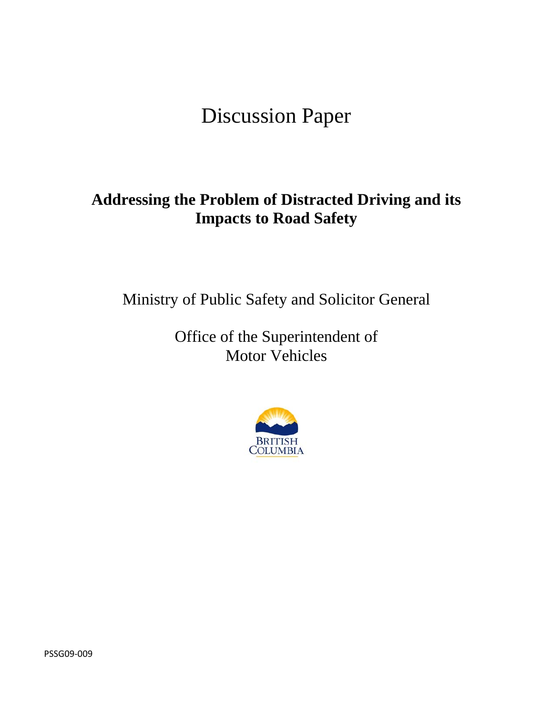# Discussion Paper

## **Addressing the Problem of Distracted Driving and its Impacts to Road Safety**

Ministry of Public Safety and Solicitor General

Office of the Superintendent of Motor Vehicles



PSSG09‐009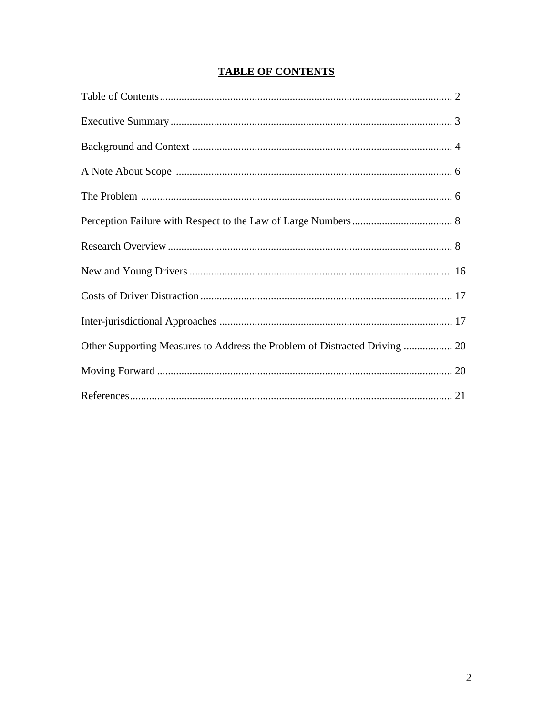| Other Supporting Measures to Address the Problem of Distracted Driving  20 |  |
|----------------------------------------------------------------------------|--|
|                                                                            |  |
|                                                                            |  |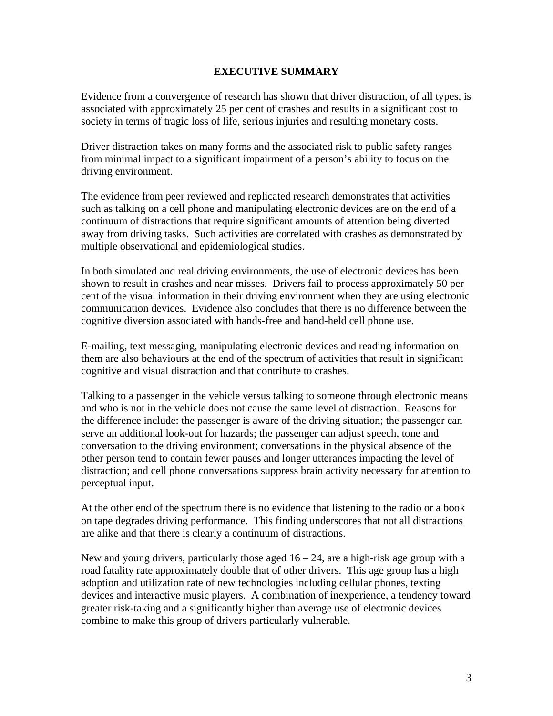#### **EXECUTIVE SUMMARY**

Evidence from a convergence of research has shown that driver distraction, of all types, is associated with approximately 25 per cent of crashes and results in a significant cost to society in terms of tragic loss of life, serious injuries and resulting monetary costs.

Driver distraction takes on many forms and the associated risk to public safety ranges from minimal impact to a significant impairment of a person's ability to focus on the driving environment.

The evidence from peer reviewed and replicated research demonstrates that activities such as talking on a cell phone and manipulating electronic devices are on the end of a continuum of distractions that require significant amounts of attention being diverted away from driving tasks. Such activities are correlated with crashes as demonstrated by multiple observational and epidemiological studies.

In both simulated and real driving environments, the use of electronic devices has been shown to result in crashes and near misses. Drivers fail to process approximately 50 per cent of the visual information in their driving environment when they are using electronic communication devices. Evidence also concludes that there is no difference between the cognitive diversion associated with hands-free and hand-held cell phone use.

E-mailing, text messaging, manipulating electronic devices and reading information on them are also behaviours at the end of the spectrum of activities that result in significant cognitive and visual distraction and that contribute to crashes.

Talking to a passenger in the vehicle versus talking to someone through electronic means and who is not in the vehicle does not cause the same level of distraction. Reasons for the difference include: the passenger is aware of the driving situation; the passenger can serve an additional look-out for hazards; the passenger can adjust speech, tone and conversation to the driving environment; conversations in the physical absence of the other person tend to contain fewer pauses and longer utterances impacting the level of distraction; and cell phone conversations suppress brain activity necessary for attention to perceptual input.

At the other end of the spectrum there is no evidence that listening to the radio or a book on tape degrades driving performance. This finding underscores that not all distractions are alike and that there is clearly a continuum of distractions.

New and young drivers, particularly those aged  $16 - 24$ , are a high-risk age group with a road fatality rate approximately double that of other drivers. This age group has a high adoption and utilization rate of new technologies including cellular phones, texting devices and interactive music players. A combination of inexperience, a tendency toward greater risk-taking and a significantly higher than average use of electronic devices combine to make this group of drivers particularly vulnerable.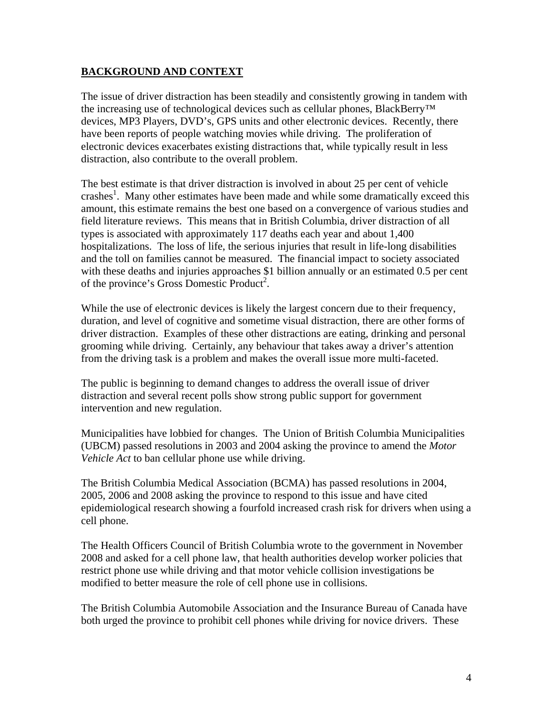#### **BACKGROUND AND CONTEXT**

The issue of driver distraction has been steadily and consistently growing in tandem with the increasing use of technological devices such as cellular phones, BlackBerry™ devices, MP3 Players, DVD's, GPS units and other electronic devices. Recently, there have been reports of people watching movies while driving. The proliferation of electronic devices exacerbates existing distractions that, while typically result in less distraction, also contribute to the overall problem.

The best estimate is that driver distraction is involved in about 25 per cent of vehicle crashes<sup>1</sup>. Many other estimates have been made and while some dramatically exceed this amount, this estimate remains the best one based on a convergence of various studies and field literature reviews. This means that in British Columbia, driver distraction of all types is associated with approximately 117 deaths each year and about 1,400 hospitalizations. The loss of life, the serious injuries that result in life-long disabilities and the toll on families cannot be measured. The financial impact to society associated with these deaths and injuries approaches \$1 billion annually or an estimated 0.5 per cent of the province's Gross Domestic Product<sup>2</sup>.

While the use of electronic devices is likely the largest concern due to their frequency, duration, and level of cognitive and sometime visual distraction, there are other forms of driver distraction. Examples of these other distractions are eating, drinking and personal grooming while driving. Certainly, any behaviour that takes away a driver's attention from the driving task is a problem and makes the overall issue more multi-faceted.

The public is beginning to demand changes to address the overall issue of driver distraction and several recent polls show strong public support for government intervention and new regulation.

Municipalities have lobbied for changes. The Union of British Columbia Municipalities (UBCM) passed resolutions in 2003 and 2004 asking the province to amend the *Motor Vehicle Act* to ban cellular phone use while driving.

The British Columbia Medical Association (BCMA) has passed resolutions in 2004, 2005, 2006 and 2008 asking the province to respond to this issue and have cited epidemiological research showing a fourfold increased crash risk for drivers when using a cell phone.

The Health Officers Council of British Columbia wrote to the government in November 2008 and asked for a cell phone law, that health authorities develop worker policies that restrict phone use while driving and that motor vehicle collision investigations be modified to better measure the role of cell phone use in collisions.

The British Columbia Automobile Association and the Insurance Bureau of Canada have both urged the province to prohibit cell phones while driving for novice drivers. These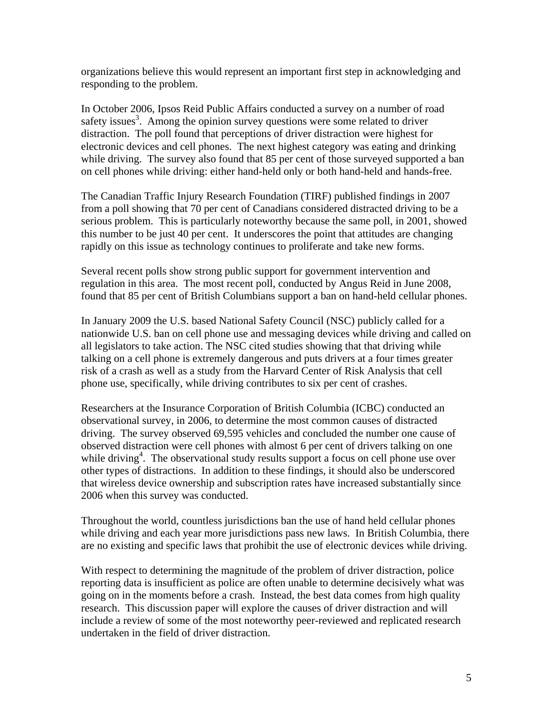organizations believe this would represent an important first step in acknowledging and responding to the problem.

In October 2006, Ipsos Reid Public Affairs conducted a survey on a number of road safety issues<sup>3</sup>. Among the opinion survey questions were some related to driver distraction. The poll found that perceptions of driver distraction were highest for electronic devices and cell phones. The next highest category was eating and drinking while driving. The survey also found that 85 per cent of those surveyed supported a ban on cell phones while driving: either hand-held only or both hand-held and hands-free.

The Canadian Traffic Injury Research Foundation (TIRF) published findings in 2007 from a poll showing that 70 per cent of Canadians considered distracted driving to be a serious problem. This is particularly noteworthy because the same poll, in 2001, showed this number to be just 40 per cent. It underscores the point that attitudes are changing rapidly on this issue as technology continues to proliferate and take new forms.

Several recent polls show strong public support for government intervention and regulation in this area. The most recent poll, conducted by Angus Reid in June 2008, found that 85 per cent of British Columbians support a ban on hand-held cellular phones.

In January 2009 the U.S. based National Safety Council (NSC) publicly called for a nationwide U.S. ban on cell phone use and messaging devices while driving and called on all legislators to take action. The NSC cited studies showing that that driving while talking on a cell phone is extremely dangerous and puts drivers at a four times greater risk of a crash as well as a study from the Harvard Center of Risk Analysis that cell phone use, specifically, while driving contributes to six per cent of crashes.

Researchers at the Insurance Corporation of British Columbia (ICBC) conducted an observational survey, in 2006, to determine the most common causes of distracted driving. The survey observed 69,595 vehicles and concluded the number one cause of observed distraction were cell phones with almost 6 per cent of drivers talking on one while driving<sup>4</sup>. The observational study results support a focus on cell phone use over other types of distractions. In addition to these findings, it should also be underscored that wireless device ownership and subscription rates have increased substantially since 2006 when this survey was conducted.

Throughout the world, countless jurisdictions ban the use of hand held cellular phones while driving and each year more jurisdictions pass new laws. In British Columbia, there are no existing and specific laws that prohibit the use of electronic devices while driving.

With respect to determining the magnitude of the problem of driver distraction, police reporting data is insufficient as police are often unable to determine decisively what was going on in the moments before a crash. Instead, the best data comes from high quality research. This discussion paper will explore the causes of driver distraction and will include a review of some of the most noteworthy peer-reviewed and replicated research undertaken in the field of driver distraction.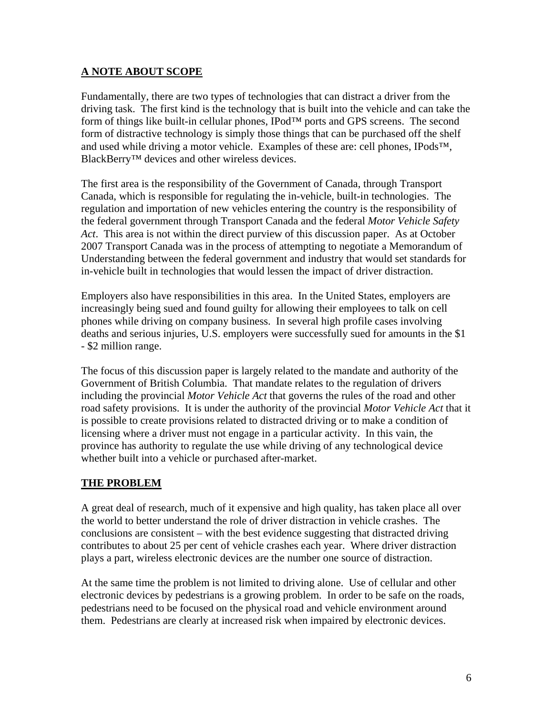#### **A NOTE ABOUT SCOPE**

Fundamentally, there are two types of technologies that can distract a driver from the driving task. The first kind is the technology that is built into the vehicle and can take the form of things like built-in cellular phones, IPod™ ports and GPS screens. The second form of distractive technology is simply those things that can be purchased off the shelf and used while driving a motor vehicle. Examples of these are: cell phones, IPods™, BlackBerry™ devices and other wireless devices.

The first area is the responsibility of the Government of Canada, through Transport Canada, which is responsible for regulating the in-vehicle, built-in technologies. The regulation and importation of new vehicles entering the country is the responsibility of the federal government through Transport Canada and the federal *Motor Vehicle Safety Act*. This area is not within the direct purview of this discussion paper. As at October 2007 Transport Canada was in the process of attempting to negotiate a Memorandum of Understanding between the federal government and industry that would set standards for in-vehicle built in technologies that would lessen the impact of driver distraction.

Employers also have responsibilities in this area. In the United States, employers are increasingly being sued and found guilty for allowing their employees to talk on cell phones while driving on company business. In several high profile cases involving deaths and serious injuries, U.S. employers were successfully sued for amounts in the \$1 - \$2 million range.

The focus of this discussion paper is largely related to the mandate and authority of the Government of British Columbia. That mandate relates to the regulation of drivers including the provincial *Motor Vehicle Act* that governs the rules of the road and other road safety provisions. It is under the authority of the provincial *Motor Vehicle Act* that it is possible to create provisions related to distracted driving or to make a condition of licensing where a driver must not engage in a particular activity. In this vain, the province has authority to regulate the use while driving of any technological device whether built into a vehicle or purchased after-market.

#### **THE PROBLEM**

A great deal of research, much of it expensive and high quality, has taken place all over the world to better understand the role of driver distraction in vehicle crashes. The conclusions are consistent – with the best evidence suggesting that distracted driving contributes to about 25 per cent of vehicle crashes each year. Where driver distraction plays a part, wireless electronic devices are the number one source of distraction.

At the same time the problem is not limited to driving alone. Use of cellular and other electronic devices by pedestrians is a growing problem. In order to be safe on the roads, pedestrians need to be focused on the physical road and vehicle environment around them. Pedestrians are clearly at increased risk when impaired by electronic devices.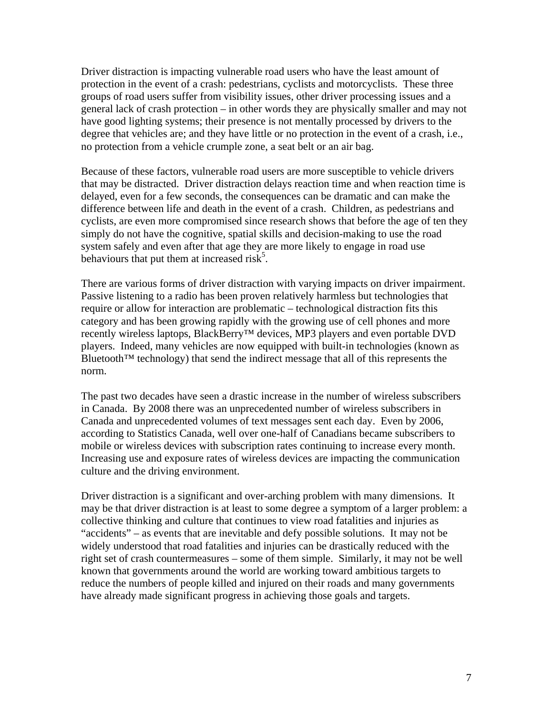Driver distraction is impacting vulnerable road users who have the least amount of protection in the event of a crash: pedestrians, cyclists and motorcyclists. These three groups of road users suffer from visibility issues, other driver processing issues and a general lack of crash protection – in other words they are physically smaller and may not have good lighting systems; their presence is not mentally processed by drivers to the degree that vehicles are; and they have little or no protection in the event of a crash, i.e., no protection from a vehicle crumple zone, a seat belt or an air bag.

Because of these factors, vulnerable road users are more susceptible to vehicle drivers that may be distracted. Driver distraction delays reaction time and when reaction time is delayed, even for a few seconds, the consequences can be dramatic and can make the difference between life and death in the event of a crash. Children, as pedestrians and cyclists, are even more compromised since research shows that before the age of ten they simply do not have the cognitive, spatial skills and decision-making to use the road system safely and even after that age they are more likely to engage in road use behaviours that put them at increased risk<sup>5</sup>.

There are various forms of driver distraction with varying impacts on driver impairment. Passive listening to a radio has been proven relatively harmless but technologies that require or allow for interaction are problematic – technological distraction fits this category and has been growing rapidly with the growing use of cell phones and more recently wireless laptops, BlackBerry™ devices, MP3 players and even portable DVD players. Indeed, many vehicles are now equipped with built-in technologies (known as Bluetooth<sup>™</sup> technology) that send the indirect message that all of this represents the norm.

The past two decades have seen a drastic increase in the number of wireless subscribers in Canada. By 2008 there was an unprecedented number of wireless subscribers in Canada and unprecedented volumes of text messages sent each day. Even by 2006, according to Statistics Canada, well over one-half of Canadians became subscribers to mobile or wireless devices with subscription rates continuing to increase every month. Increasing use and exposure rates of wireless devices are impacting the communication culture and the driving environment.

Driver distraction is a significant and over-arching problem with many dimensions. It may be that driver distraction is at least to some degree a symptom of a larger problem: a collective thinking and culture that continues to view road fatalities and injuries as "accidents" – as events that are inevitable and defy possible solutions. It may not be widely understood that road fatalities and injuries can be drastically reduced with the right set of crash countermeasures – some of them simple. Similarly, it may not be well known that governments around the world are working toward ambitious targets to reduce the numbers of people killed and injured on their roads and many governments have already made significant progress in achieving those goals and targets.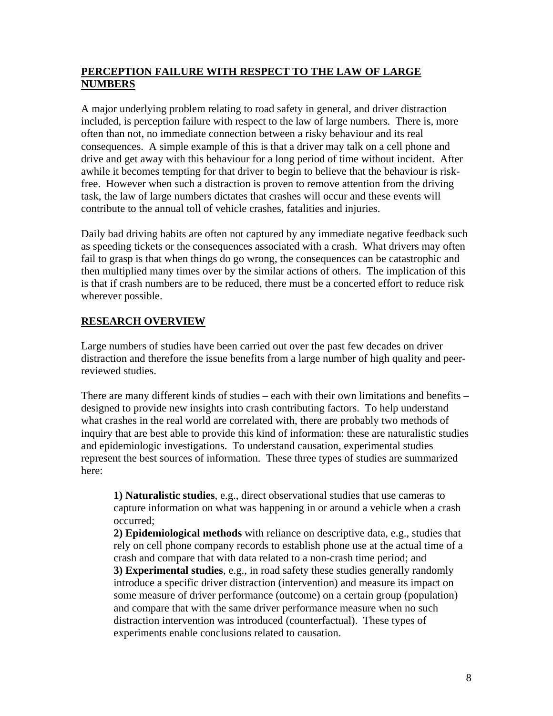#### **PERCEPTION FAILURE WITH RESPECT TO THE LAW OF LARGE NUMBERS**

A major underlying problem relating to road safety in general, and driver distraction included, is perception failure with respect to the law of large numbers. There is, more often than not, no immediate connection between a risky behaviour and its real consequences. A simple example of this is that a driver may talk on a cell phone and drive and get away with this behaviour for a long period of time without incident. After awhile it becomes tempting for that driver to begin to believe that the behaviour is riskfree. However when such a distraction is proven to remove attention from the driving task, the law of large numbers dictates that crashes will occur and these events will contribute to the annual toll of vehicle crashes, fatalities and injuries.

Daily bad driving habits are often not captured by any immediate negative feedback such as speeding tickets or the consequences associated with a crash. What drivers may often fail to grasp is that when things do go wrong, the consequences can be catastrophic and then multiplied many times over by the similar actions of others. The implication of this is that if crash numbers are to be reduced, there must be a concerted effort to reduce risk wherever possible.

### **RESEARCH OVERVIEW**

Large numbers of studies have been carried out over the past few decades on driver distraction and therefore the issue benefits from a large number of high quality and peerreviewed studies.

There are many different kinds of studies – each with their own limitations and benefits – designed to provide new insights into crash contributing factors. To help understand what crashes in the real world are correlated with, there are probably two methods of inquiry that are best able to provide this kind of information: these are naturalistic studies and epidemiologic investigations. To understand causation, experimental studies represent the best sources of information. These three types of studies are summarized here:

**1) Naturalistic studies**, e.g., direct observational studies that use cameras to capture information on what was happening in or around a vehicle when a crash occurred;

**2) Epidemiological methods** with reliance on descriptive data, e.g., studies that rely on cell phone company records to establish phone use at the actual time of a crash and compare that with data related to a non-crash time period; and **3) Experimental studies**, e.g., in road safety these studies generally randomly introduce a specific driver distraction (intervention) and measure its impact on some measure of driver performance (outcome) on a certain group (population) and compare that with the same driver performance measure when no such distraction intervention was introduced (counterfactual). These types of experiments enable conclusions related to causation.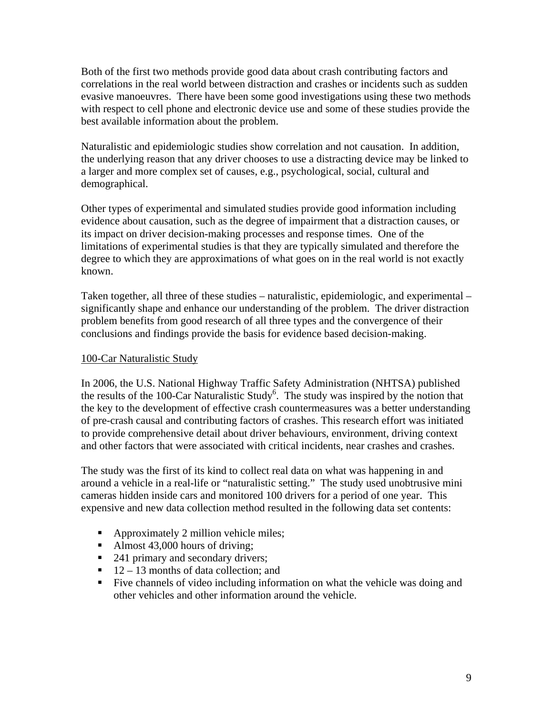Both of the first two methods provide good data about crash contributing factors and correlations in the real world between distraction and crashes or incidents such as sudden evasive manoeuvres. There have been some good investigations using these two methods with respect to cell phone and electronic device use and some of these studies provide the best available information about the problem.

Naturalistic and epidemiologic studies show correlation and not causation. In addition, the underlying reason that any driver chooses to use a distracting device may be linked to a larger and more complex set of causes, e.g., psychological, social, cultural and demographical.

Other types of experimental and simulated studies provide good information including evidence about causation, such as the degree of impairment that a distraction causes, or its impact on driver decision-making processes and response times. One of the limitations of experimental studies is that they are typically simulated and therefore the degree to which they are approximations of what goes on in the real world is not exactly known.

Taken together, all three of these studies – naturalistic, epidemiologic, and experimental – significantly shape and enhance our understanding of the problem. The driver distraction problem benefits from good research of all three types and the convergence of their conclusions and findings provide the basis for evidence based decision-making.

#### 100-Car Naturalistic Study

In 2006, the U.S. National Highway Traffic Safety Administration (NHTSA) published the results of the 100-Car Naturalistic Study<sup>6</sup>. The study was inspired by the notion that the key to the development of effective crash countermeasures was a better understanding of pre-crash causal and contributing factors of crashes. This research effort was initiated to provide comprehensive detail about driver behaviours, environment, driving context and other factors that were associated with critical incidents, near crashes and crashes.

The study was the first of its kind to collect real data on what was happening in and around a vehicle in a real-life or "naturalistic setting." The study used unobtrusive mini cameras hidden inside cars and monitored 100 drivers for a period of one year. This expensive and new data collection method resulted in the following data set contents:

- Approximately 2 million vehicle miles;
- Almost  $43,000$  hours of driving;
- 241 primary and secondary drivers;
- $\blacksquare$  12 13 months of data collection; and
- Five channels of video including information on what the vehicle was doing and other vehicles and other information around the vehicle.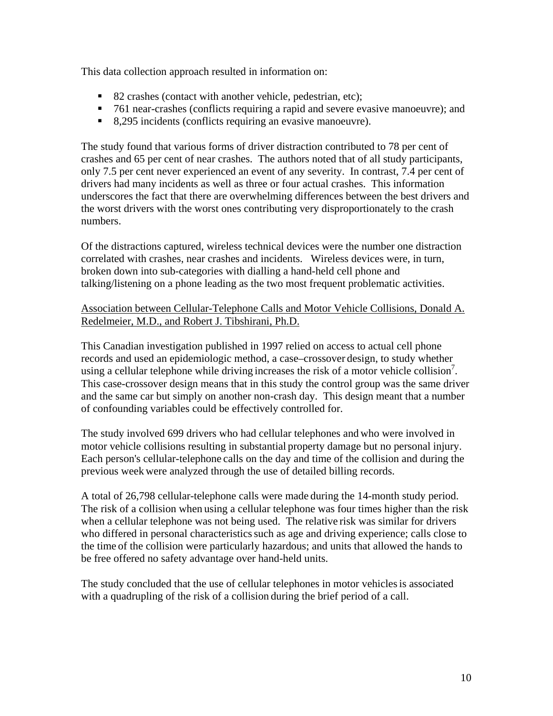This data collection approach resulted in information on:

- 82 crashes (contact with another vehicle, pedestrian, etc);
- 761 near-crashes (conflicts requiring a rapid and severe evasive manoeuvre); and
- 8,295 incidents (conflicts requiring an evasive manoeuvre).

The study found that various forms of driver distraction contributed to 78 per cent of crashes and 65 per cent of near crashes. The authors noted that of all study participants, only 7.5 per cent never experienced an event of any severity. In contrast, 7.4 per cent of drivers had many incidents as well as three or four actual crashes. This information underscores the fact that there are overwhelming differences between the best drivers and the worst drivers with the worst ones contributing very disproportionately to the crash numbers.

Of the distractions captured, wireless technical devices were the number one distraction correlated with crashes, near crashes and incidents. Wireless devices were, in turn, broken down into sub-categories with dialling a hand-held cell phone and talking/listening on a phone leading as the two most frequent problematic activities.

#### Association between Cellular-Telephone Calls and Motor Vehicle Collisions, Donald A. Redelmeier, M.D., and Robert J. Tibshirani, Ph.D.

This Canadian investigation published in 1997 relied on access to actual cell phone records and used an epidemiologic method, a case–crossover design, to study whether using a cellular telephone while driving increases the risk of a motor vehicle collision<sup>7</sup>. This case-crossover design means that in this study the control group was the same driver and the same car but simply on another non-crash day. This design meant that a number of confounding variables could be effectively controlled for.

The study involved 699 drivers who had cellular telephones and who were involved in motor vehicle collisions resulting in substantial property damage but no personal injury. Each person's cellular-telephone calls on the day and time of the collision and during the previous week were analyzed through the use of detailed billing records.

A total of 26,798 cellular-telephone calls were made during the 14-month study period. The risk of a collision when using a cellular telephone was four times higher than the risk when a cellular telephone was not being used. The relative risk was similar for drivers who differed in personal characteristics such as age and driving experience; calls close to the time of the collision were particularly hazardous; and units that allowed the hands to be free offered no safety advantage over hand-held units.

The study concluded that the use of cellular telephones in motor vehiclesis associated with a quadrupling of the risk of a collision during the brief period of a call.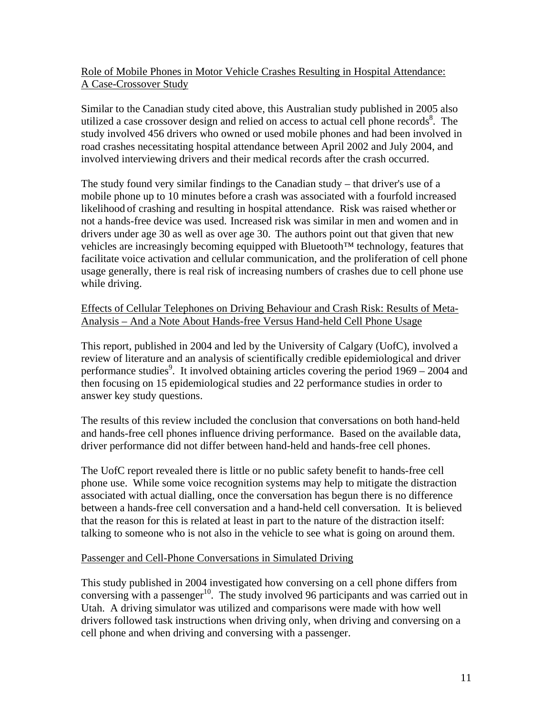#### Role of Mobile Phones in Motor Vehicle Crashes Resulting in Hospital Attendance: A Case-Crossover Study

Similar to the Canadian study cited above, this Australian study published in 2005 also utilized a case crossover design and relied on access to actual cell phone records<sup>8</sup>. The study involved 456 drivers who owned or used mobile phones and had been involved in road crashes necessitating hospital attendance between April 2002 and July 2004, and involved interviewing drivers and their medical records after the crash occurred.

The study found very similar findings to the Canadian study – that driver's use of a mobile phone up to 10 minutes before a crash was associated with a fourfold increased likelihood of crashing and resulting in hospital attendance. Risk was raised whether or not a hands-free device was used. Increased risk was similar in men and women and in drivers under age 30 as well as over age 30. The authors point out that given that new vehicles are increasingly becoming equipped with Bluetooth™ technology, features that facilitate voice activation and cellular communication, and the proliferation of cell phone usage generally, there is real risk of increasing numbers of crashes due to cell phone use while driving.

#### Effects of Cellular Telephones on Driving Behaviour and Crash Risk: Results of Meta-Analysis – And a Note About Hands-free Versus Hand-held Cell Phone Usage

This report, published in 2004 and led by the University of Calgary (UofC), involved a review of literature and an analysis of scientifically credible epidemiological and driver performance studies<sup>9</sup>. It involved obtaining articles covering the period  $1969 - 2004$  and then focusing on 15 epidemiological studies and 22 performance studies in order to answer key study questions.

The results of this review included the conclusion that conversations on both hand-held and hands-free cell phones influence driving performance. Based on the available data, driver performance did not differ between hand-held and hands-free cell phones.

The UofC report revealed there is little or no public safety benefit to hands-free cell phone use. While some voice recognition systems may help to mitigate the distraction associated with actual dialling, once the conversation has begun there is no difference between a hands-free cell conversation and a hand-held cell conversation. It is believed that the reason for this is related at least in part to the nature of the distraction itself: talking to someone who is not also in the vehicle to see what is going on around them.

### Passenger and Cell-Phone Conversations in Simulated Driving

This study published in 2004 investigated how conversing on a cell phone differs from conversing with a passenger<sup>10</sup>. The study involved 96 participants and was carried out in Utah. A driving simulator was utilized and comparisons were made with how well drivers followed task instructions when driving only, when driving and conversing on a cell phone and when driving and conversing with a passenger.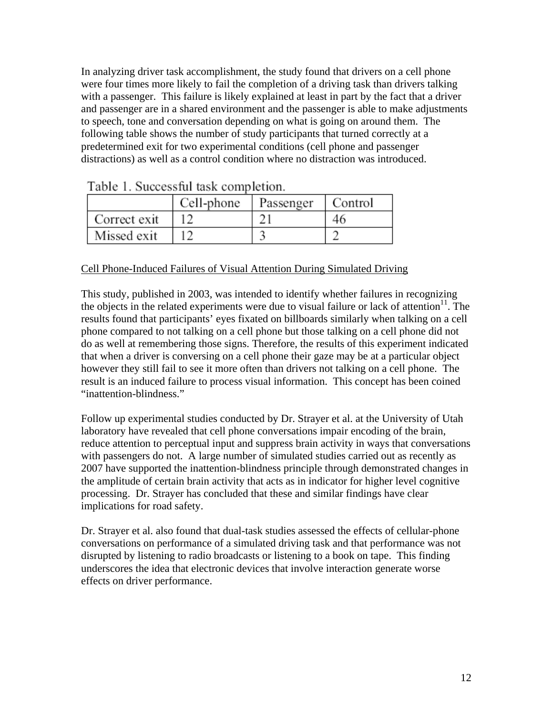In analyzing driver task accomplishment, the study found that drivers on a cell phone were four times more likely to fail the completion of a driving task than drivers talking with a passenger. This failure is likely explained at least in part by the fact that a driver and passenger are in a shared environment and the passenger is able to make adjustments to speech, tone and conversation depending on what is going on around them. The following table shows the number of study participants that turned correctly at a predetermined exit for two experimental conditions (cell phone and passenger distractions) as well as a control condition where no distraction was introduced.

|              | Cell-phone | Passenger | Control |
|--------------|------------|-----------|---------|
| Correct exit |            |           | 46      |
| Missed exit  |            |           |         |

Table 1. Successful task completion

#### Cell Phone-Induced Failures of Visual Attention During Simulated Driving

This study, published in 2003, was intended to identify whether failures in recognizing the objects in the related experiments were due to visual failure or lack of attention<sup>11</sup>. The results found that participants' eyes fixated on billboards similarly when talking on a cell phone compared to not talking on a cell phone but those talking on a cell phone did not do as well at remembering those signs. Therefore, the results of this experiment indicated that when a driver is conversing on a cell phone their gaze may be at a particular object however they still fail to see it more often than drivers not talking on a cell phone. The result is an induced failure to process visual information. This concept has been coined "inattention-blindness."

Follow up experimental studies conducted by Dr. Strayer et al. at the University of Utah laboratory have revealed that cell phone conversations impair encoding of the brain, reduce attention to perceptual input and suppress brain activity in ways that conversations with passengers do not. A large number of simulated studies carried out as recently as 2007 have supported the inattention-blindness principle through demonstrated changes in the amplitude of certain brain activity that acts as in indicator for higher level cognitive processing. Dr. Strayer has concluded that these and similar findings have clear implications for road safety.

Dr. Strayer et al. also found that dual-task studies assessed the effects of cellular-phone conversations on performance of a simulated driving task and that performance was not disrupted by listening to radio broadcasts or listening to a book on tape. This finding underscores the idea that electronic devices that involve interaction generate worse effects on driver performance.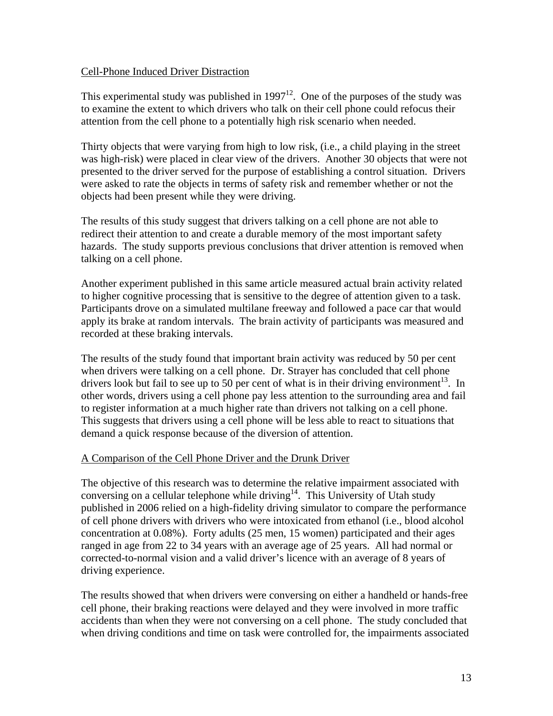#### Cell-Phone Induced Driver Distraction

This experimental study was published in  $1997^{12}$ . One of the purposes of the study was to examine the extent to which drivers who talk on their cell phone could refocus their attention from the cell phone to a potentially high risk scenario when needed.

Thirty objects that were varying from high to low risk, (i.e., a child playing in the street was high-risk) were placed in clear view of the drivers. Another 30 objects that were not presented to the driver served for the purpose of establishing a control situation. Drivers were asked to rate the objects in terms of safety risk and remember whether or not the objects had been present while they were driving.

The results of this study suggest that drivers talking on a cell phone are not able to redirect their attention to and create a durable memory of the most important safety hazards.The study supports previous conclusions that driver attention is removed when talking on a cell phone.

Another experiment published in this same article measured actual brain activity related to higher cognitive processing that is sensitive to the degree of attention given to a task. Participants drove on a simulated multilane freeway and followed a pace car that would apply its brake at random intervals. The brain activity of participants was measured and recorded at these braking intervals.

The results of the study found that important brain activity was reduced by 50 per cent when drivers were talking on a cell phone. Dr. Strayer has concluded that cell phone drivers look but fail to see up to 50 per cent of what is in their driving environment<sup>13</sup>. In other words, drivers using a cell phone pay less attention to the surrounding area and fail to register information at a much higher rate than drivers not talking on a cell phone. This suggests that drivers using a cell phone will be less able to react to situations that demand a quick response because of the diversion of attention.

#### A Comparison of the Cell Phone Driver and the Drunk Driver

The objective of this research was to determine the relative impairment associated with conversing on a cellular telephone while driving<sup>14</sup>. This University of Utah study published in 2006 relied on a high-fidelity driving simulator to compare the performance of cell phone drivers with drivers who were intoxicated from ethanol (i.e., blood alcohol concentration at 0.08%). Forty adults (25 men, 15 women) participated and their ages ranged in age from 22 to 34 years with an average age of 25 years. All had normal or corrected-to-normal vision and a valid driver's licence with an average of 8 years of driving experience.

The results showed that when drivers were conversing on either a handheld or hands-free cell phone, their braking reactions were delayed and they were involved in more traffic accidents than when they were not conversing on a cell phone. The study concluded that when driving conditions and time on task were controlled for, the impairments associated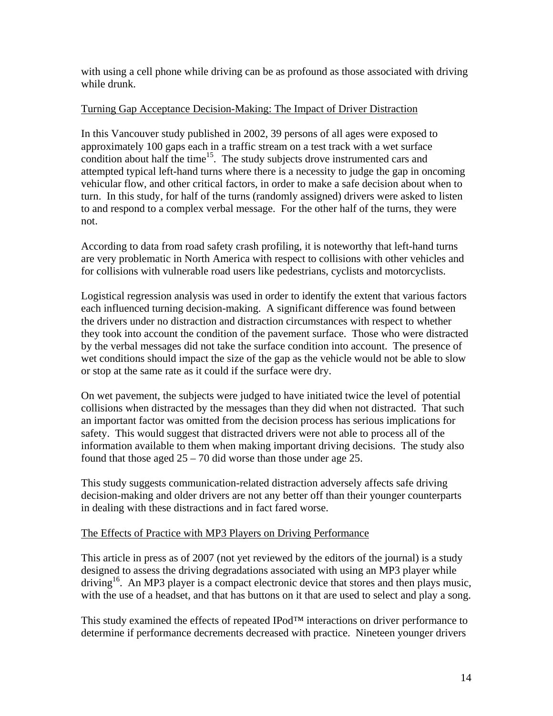with using a cell phone while driving can be as profound as those associated with driving while drunk.

#### Turning Gap Acceptance Decision-Making: The Impact of Driver Distraction

In this Vancouver study published in 2002, 39 persons of all ages were exposed to approximately 100 gaps each in a traffic stream on a test track with a wet surface condition about half the time<sup>15</sup>. The study subjects drove instrumented cars and attempted typical left-hand turns where there is a necessity to judge the gap in oncoming vehicular flow, and other critical factors, in order to make a safe decision about when to turn. In this study, for half of the turns (randomly assigned) drivers were asked to listen to and respond to a complex verbal message. For the other half of the turns, they were not.

According to data from road safety crash profiling, it is noteworthy that left-hand turns are very problematic in North America with respect to collisions with other vehicles and for collisions with vulnerable road users like pedestrians, cyclists and motorcyclists.

Logistical regression analysis was used in order to identify the extent that various factors each influenced turning decision-making. A significant difference was found between the drivers under no distraction and distraction circumstances with respect to whether they took into account the condition of the pavement surface. Those who were distracted by the verbal messages did not take the surface condition into account. The presence of wet conditions should impact the size of the gap as the vehicle would not be able to slow or stop at the same rate as it could if the surface were dry.

On wet pavement, the subjects were judged to have initiated twice the level of potential collisions when distracted by the messages than they did when not distracted. That such an important factor was omitted from the decision process has serious implications for safety. This would suggest that distracted drivers were not able to process all of the information available to them when making important driving decisions. The study also found that those aged  $25 - 70$  did worse than those under age 25.

This study suggests communication-related distraction adversely affects safe driving decision-making and older drivers are not any better off than their younger counterparts in dealing with these distractions and in fact fared worse.

#### The Effects of Practice with MP3 Players on Driving Performance

This article in press as of 2007 (not yet reviewed by the editors of the journal) is a study designed to assess the driving degradations associated with using an MP3 player while driving<sup>16</sup>. An MP3 player is a compact electronic device that stores and then plays music, with the use of a headset, and that has buttons on it that are used to select and play a song.

This study examined the effects of repeated IPod™ interactions on driver performance to determine if performance decrements decreased with practice. Nineteen younger drivers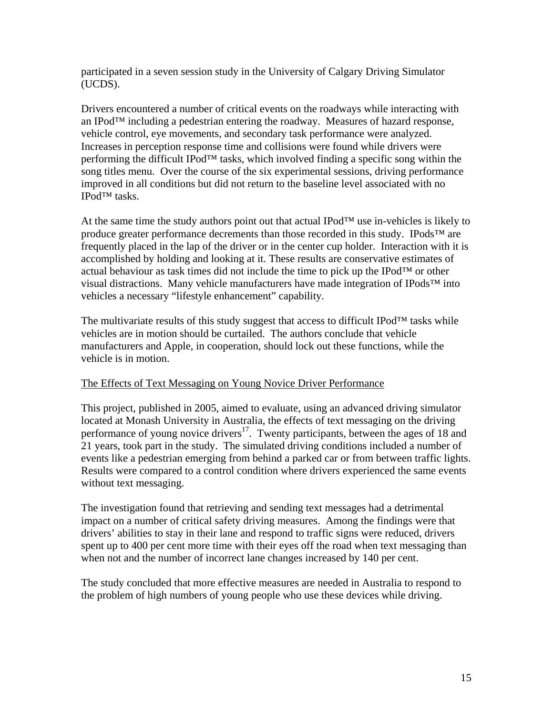participated in a seven session study in the University of Calgary Driving Simulator (UCDS).

Drivers encountered a number of critical events on the roadways while interacting with an IPod<sup>TM</sup> including a pedestrian entering the roadway. Measures of hazard response, vehicle control, eye movements, and secondary task performance were analyzed. Increases in perception response time and collisions were found while drivers were performing the difficult IPod<sup>™</sup> tasks, which involved finding a specific song within the song titles menu. Over the course of the six experimental sessions, driving performance improved in all conditions but did not return to the baseline level associated with no IPod™ tasks.

At the same time the study authors point out that actual IPod<sup> $TM$ </sup> use in-vehicles is likely to produce greater performance decrements than those recorded in this study. IPods<sup>™</sup> are frequently placed in the lap of the driver or in the center cup holder. Interaction with it is accomplished by holding and looking at it. These results are conservative estimates of actual behaviour as task times did not include the time to pick up the IPod™ or other visual distractions. Many vehicle manufacturers have made integration of IPods™ into vehicles a necessary "lifestyle enhancement" capability.

The multivariate results of this study suggest that access to difficult IPod<sup>TM</sup> tasks while vehicles are in motion should be curtailed. The authors conclude that vehicle manufacturers and Apple, in cooperation, should lock out these functions, while the vehicle is in motion.

#### The Effects of Text Messaging on Young Novice Driver Performance

This project, published in 2005, aimed to evaluate, using an advanced driving simulator located at Monash University in Australia, the effects of text messaging on the driving performance of young novice drivers<sup>17</sup>. Twenty participants, between the ages of 18 and 21 years, took part in the study. The simulated driving conditions included a number of events like a pedestrian emerging from behind a parked car or from between traffic lights. Results were compared to a control condition where drivers experienced the same events without text messaging.

The investigation found that retrieving and sending text messages had a detrimental impact on a number of critical safety driving measures. Among the findings were that drivers' abilities to stay in their lane and respond to traffic signs were reduced, drivers spent up to 400 per cent more time with their eyes off the road when text messaging than when not and the number of incorrect lane changes increased by 140 per cent.

The study concluded that more effective measures are needed in Australia to respond to the problem of high numbers of young people who use these devices while driving.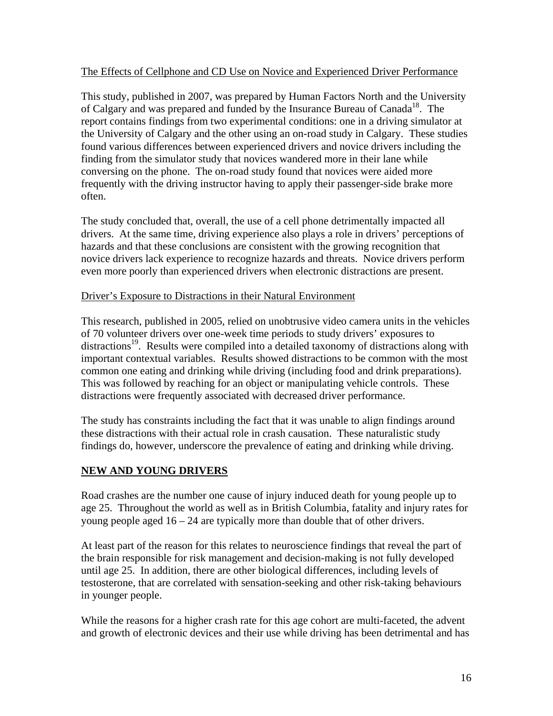#### The Effects of Cellphone and CD Use on Novice and Experienced Driver Performance

This study, published in 2007, was prepared by Human Factors North and the University of Calgary and was prepared and funded by the Insurance Bureau of Canada<sup>18</sup>. The report contains findings from two experimental conditions: one in a driving simulator at the University of Calgary and the other using an on-road study in Calgary. These studies found various differences between experienced drivers and novice drivers including the finding from the simulator study that novices wandered more in their lane while conversing on the phone. The on-road study found that novices were aided more frequently with the driving instructor having to apply their passenger-side brake more often.

The study concluded that, overall, the use of a cell phone detrimentally impacted all drivers. At the same time, driving experience also plays a role in drivers' perceptions of hazards and that these conclusions are consistent with the growing recognition that novice drivers lack experience to recognize hazards and threats. Novice drivers perform even more poorly than experienced drivers when electronic distractions are present.

#### Driver's Exposure to Distractions in their Natural Environment

This research, published in 2005, relied on unobtrusive video camera units in the vehicles of 70 volunteer drivers over one-week time periods to study drivers' exposures to distractions<sup>19</sup>. Results were compiled into a detailed taxonomy of distractions along with important contextual variables. Results showed distractions to be common with the most common one eating and drinking while driving (including food and drink preparations). This was followed by reaching for an object or manipulating vehicle controls. These distractions were frequently associated with decreased driver performance.

The study has constraints including the fact that it was unable to align findings around these distractions with their actual role in crash causation. These naturalistic study findings do, however, underscore the prevalence of eating and drinking while driving.

#### **NEW AND YOUNG DRIVERS**

Road crashes are the number one cause of injury induced death for young people up to age 25. Throughout the world as well as in British Columbia, fatality and injury rates for young people aged  $16 - 24$  are typically more than double that of other drivers.

At least part of the reason for this relates to neuroscience findings that reveal the part of the brain responsible for risk management and decision-making is not fully developed until age 25. In addition, there are other biological differences, including levels of testosterone, that are correlated with sensation-seeking and other risk-taking behaviours in younger people.

While the reasons for a higher crash rate for this age cohort are multi-faceted, the advent and growth of electronic devices and their use while driving has been detrimental and has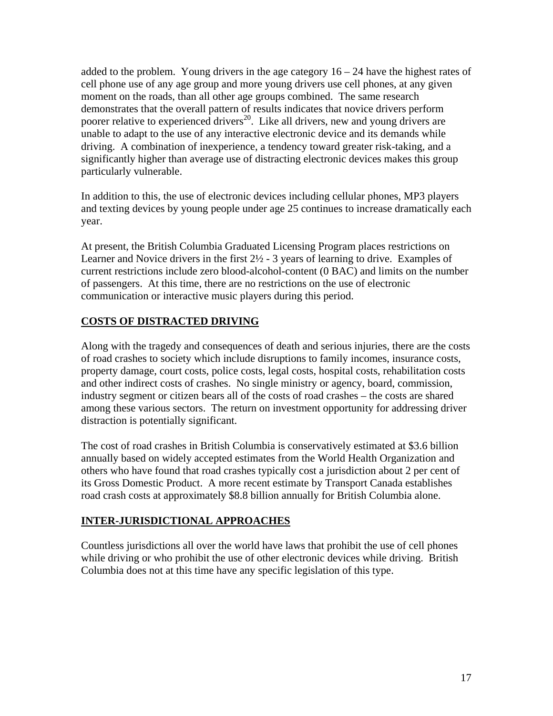added to the problem. Young drivers in the age category  $16 - 24$  have the highest rates of cell phone use of any age group and more young drivers use cell phones, at any given moment on the roads, than all other age groups combined. The same research demonstrates that the overall pattern of results indicates that novice drivers perform poorer relative to experienced drivers<sup>20</sup>. Like all drivers, new and young drivers are unable to adapt to the use of any interactive electronic device and its demands while driving. A combination of inexperience, a tendency toward greater risk-taking, and a significantly higher than average use of distracting electronic devices makes this group particularly vulnerable.

In addition to this, the use of electronic devices including cellular phones, MP3 players and texting devices by young people under age 25 continues to increase dramatically each year.

At present, the British Columbia Graduated Licensing Program places restrictions on Learner and Novice drivers in the first 2½ - 3 years of learning to drive. Examples of current restrictions include zero blood-alcohol-content (0 BAC) and limits on the number of passengers. At this time, there are no restrictions on the use of electronic communication or interactive music players during this period.

### **COSTS OF DISTRACTED DRIVING**

Along with the tragedy and consequences of death and serious injuries, there are the costs of road crashes to society which include disruptions to family incomes, insurance costs, property damage, court costs, police costs, legal costs, hospital costs, rehabilitation costs and other indirect costs of crashes. No single ministry or agency, board, commission, industry segment or citizen bears all of the costs of road crashes – the costs are shared among these various sectors. The return on investment opportunity for addressing driver distraction is potentially significant.

The cost of road crashes in British Columbia is conservatively estimated at \$3.6 billion annually based on widely accepted estimates from the World Health Organization and others who have found that road crashes typically cost a jurisdiction about 2 per cent of its Gross Domestic Product. A more recent estimate by Transport Canada establishes road crash costs at approximately \$8.8 billion annually for British Columbia alone.

### **INTER-JURISDICTIONAL APPROACHES**

Countless jurisdictions all over the world have laws that prohibit the use of cell phones while driving or who prohibit the use of other electronic devices while driving. British Columbia does not at this time have any specific legislation of this type.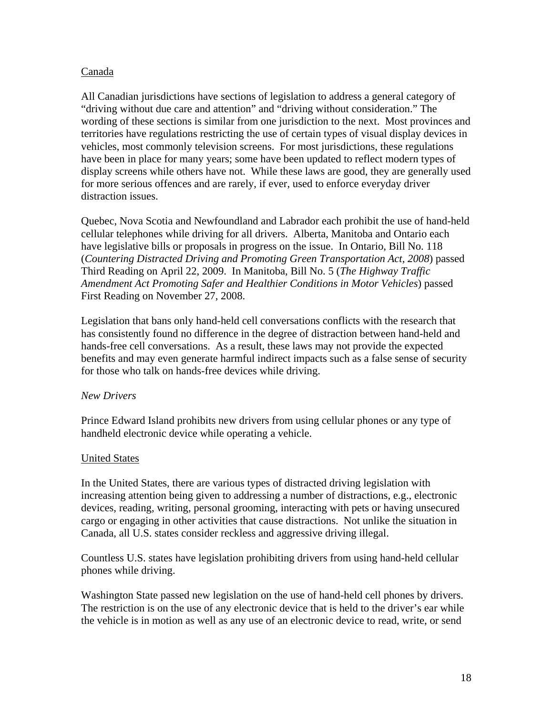#### Canada

All Canadian jurisdictions have sections of legislation to address a general category of "driving without due care and attention" and "driving without consideration." The wording of these sections is similar from one jurisdiction to the next. Most provinces and territories have regulations restricting the use of certain types of visual display devices in vehicles, most commonly television screens. For most jurisdictions, these regulations have been in place for many years; some have been updated to reflect modern types of display screens while others have not. While these laws are good, they are generally used for more serious offences and are rarely, if ever, used to enforce everyday driver distraction issues.

Quebec, Nova Scotia and Newfoundland and Labrador each prohibit the use of hand-held cellular telephones while driving for all drivers. Alberta, Manitoba and Ontario each have legislative bills or proposals in progress on the issue. In Ontario, Bill No. 118 (*Countering Distracted Driving and Promoting Green Transportation Act, 2008*) passed Third Reading on April 22, 2009. In Manitoba, Bill No. 5 (*The Highway Traffic Amendment Act Promoting Safer and Healthier Conditions in Motor Vehicles*) passed First Reading on November 27, 2008.

Legislation that bans only hand-held cell conversations conflicts with the research that has consistently found no difference in the degree of distraction between hand-held and hands-free cell conversations. As a result, these laws may not provide the expected benefits and may even generate harmful indirect impacts such as a false sense of security for those who talk on hands-free devices while driving.

#### *New Drivers*

Prince Edward Island prohibits new drivers from using cellular phones or any type of handheld electronic device while operating a vehicle.

#### United States

In the United States, there are various types of distracted driving legislation with increasing attention being given to addressing a number of distractions, e.g., electronic devices, reading, writing, personal grooming, interacting with pets or having unsecured cargo or engaging in other activities that cause distractions. Not unlike the situation in Canada, all U.S. states consider reckless and aggressive driving illegal.

Countless U.S. states have legislation prohibiting drivers from using hand-held cellular phones while driving.

Washington State passed new legislation on the use of hand-held cell phones by drivers. The restriction is on the use of any electronic device that is held to the driver's ear while the vehicle is in motion as well as any use of an electronic device to read, write, or send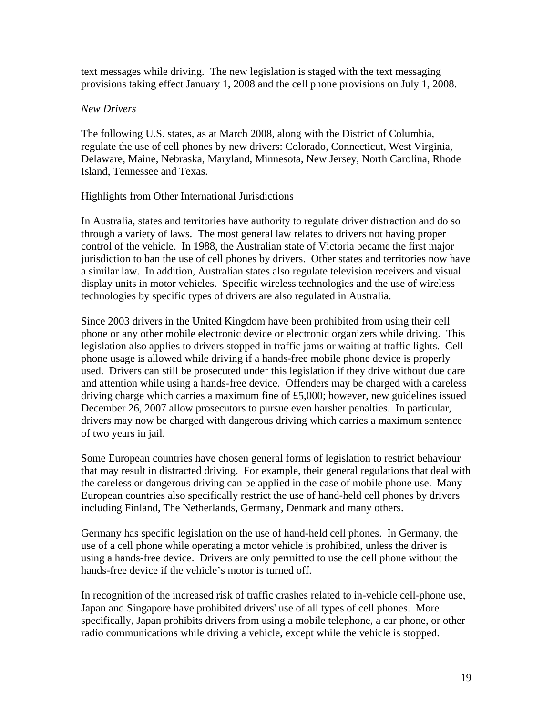text messages while driving. The new legislation is staged with the text messaging provisions taking effect January 1, 2008 and the cell phone provisions on July 1, 2008.

#### *New Drivers*

The following U.S. states, as at March 2008, along with the District of Columbia, regulate the use of cell phones by new drivers: Colorado, Connecticut, West Virginia, Delaware, Maine, Nebraska, Maryland, Minnesota, New Jersey, North Carolina, Rhode Island, Tennessee and Texas.

#### Highlights from Other International Jurisdictions

In Australia, states and territories have authority to regulate driver distraction and do so through a variety of laws. The most general law relates to drivers not having proper control of the vehicle. In 1988, the Australian state of Victoria became the first major jurisdiction to ban the use of cell phones by drivers. Other states and territories now have a similar law. In addition, Australian states also regulate television receivers and visual display units in motor vehicles. Specific wireless technologies and the use of wireless technologies by specific types of drivers are also regulated in Australia.

Since 2003 drivers in the United Kingdom have been prohibited from using their cell phone or any other mobile electronic device or electronic organizers while driving. This legislation also applies to drivers stopped in traffic jams or waiting at traffic lights. Cell phone usage is allowed while driving if a hands-free mobile phone device is properly used. Drivers can still be prosecuted under this legislation if they drive without due care and attention while using a hands-free device. Offenders may be charged with a careless driving charge which carries a maximum fine of £5,000; however, new guidelines issued December 26, 2007 allow prosecutors to pursue even harsher penalties. In particular, drivers may now be charged with dangerous driving which carries a maximum sentence of two years in jail.

Some European countries have chosen general forms of legislation to restrict behaviour that may result in distracted driving. For example, their general regulations that deal with the careless or dangerous driving can be applied in the case of mobile phone use. Many European countries also specifically restrict the use of hand-held cell phones by drivers including Finland, The Netherlands, Germany, Denmark and many others.

Germany has specific legislation on the use of hand-held cell phones. In Germany, the use of a cell phone while operating a motor vehicle is prohibited, unless the driver is using a hands-free device. Drivers are only permitted to use the cell phone without the hands-free device if the vehicle's motor is turned off.

In recognition of the increased risk of traffic crashes related to in-vehicle cell-phone use, Japan and Singapore have prohibited drivers' use of all types of cell phones. More specifically, Japan prohibits drivers from using a mobile telephone, a car phone, or other radio communications while driving a vehicle, except while the vehicle is stopped.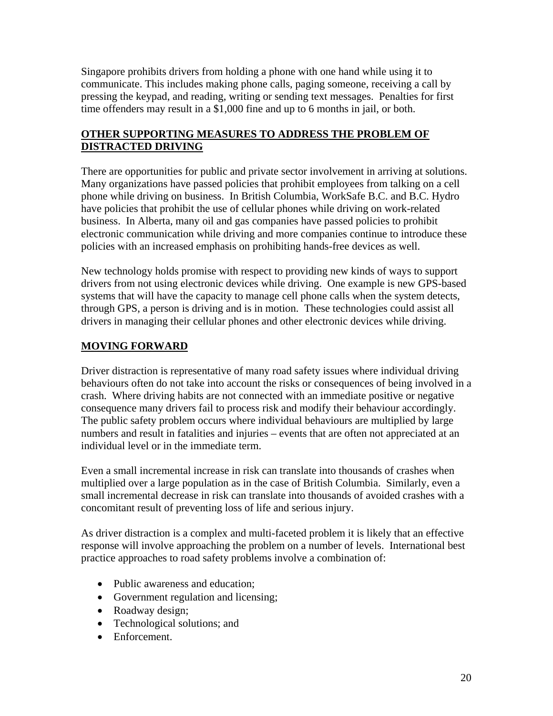Singapore prohibits drivers from holding a phone with one hand while using it to communicate. This includes making phone calls, paging someone, receiving a call by pressing the keypad, and reading, writing or sending text messages. Penalties for first time offenders may result in a \$1,000 fine and up to 6 months in jail, or both.

#### **OTHER SUPPORTING MEASURES TO ADDRESS THE PROBLEM OF DISTRACTED DRIVING**

There are opportunities for public and private sector involvement in arriving at solutions. Many organizations have passed policies that prohibit employees from talking on a cell phone while driving on business. In British Columbia, WorkSafe B.C. and B.C. Hydro have policies that prohibit the use of cellular phones while driving on work-related business. In Alberta, many oil and gas companies have passed policies to prohibit electronic communication while driving and more companies continue to introduce these policies with an increased emphasis on prohibiting hands-free devices as well.

New technology holds promise with respect to providing new kinds of ways to support drivers from not using electronic devices while driving. One example is new GPS-based systems that will have the capacity to manage cell phone calls when the system detects, through GPS, a person is driving and is in motion. These technologies could assist all drivers in managing their cellular phones and other electronic devices while driving.

### **MOVING FORWARD**

Driver distraction is representative of many road safety issues where individual driving behaviours often do not take into account the risks or consequences of being involved in a crash. Where driving habits are not connected with an immediate positive or negative consequence many drivers fail to process risk and modify their behaviour accordingly. The public safety problem occurs where individual behaviours are multiplied by large numbers and result in fatalities and injuries – events that are often not appreciated at an individual level or in the immediate term.

Even a small incremental increase in risk can translate into thousands of crashes when multiplied over a large population as in the case of British Columbia. Similarly, even a small incremental decrease in risk can translate into thousands of avoided crashes with a concomitant result of preventing loss of life and serious injury.

As driver distraction is a complex and multi-faceted problem it is likely that an effective response will involve approaching the problem on a number of levels. International best practice approaches to road safety problems involve a combination of:

- Public awareness and education:
- Government regulation and licensing;
- Roadway design;
- Technological solutions; and
- Enforcement.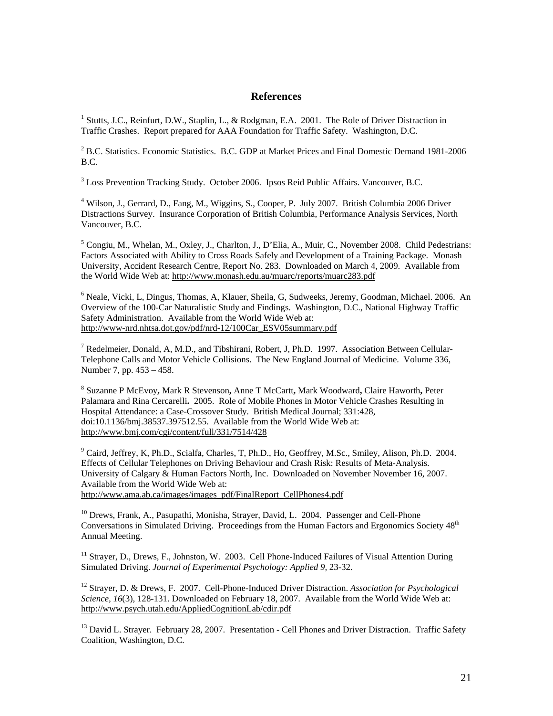#### **References**

<sup>1</sup> Stutts, J.C., Reinfurt, D.W., Staplin, L., & Rodgman, E.A. 2001. The Role of Driver Distraction in Traffic Crashes. Report prepared for AAA Foundation for Traffic Safety. Washington, D.C.

2 B.C. Statistics. Economic Statistics.B.C. GDP at Market Prices and Final Domestic Demand 1981-2006 B.C.

<sup>3</sup> Loss Prevention Tracking Study. October 2006. Ipsos Reid Public Affairs. Vancouver, B.C.

 $\overline{a}$ 

<sup>4</sup> Wilson, J., Gerrard, D., Fang, M., Wiggins, S., Cooper, P. July 2007. British Columbia 2006 Driver Distractions Survey. Insurance Corporation of British Columbia, Performance Analysis Services, North Vancouver, B.C.

<sup>5</sup> Congiu, M., Whelan, M., Oxley, J., Charlton, J., D'Elia, A., Muir, C., November 2008. Child Pedestrians: Factors Associated with Ability to Cross Roads Safely and Development of a Training Package. Monash University, Accident Research Centre, Report No. 283. Downloaded on March 4, 2009. Available from the World Wide Web at: http://www.monash.edu.au/muarc/reports/muarc283.pdf

6 Neale, Vicki, L, Dingus, Thomas, A, Klauer, Sheila, G, Sudweeks, Jeremy, Goodman, Michael. 2006. An Overview of the 100-Car Naturalistic Study and Findings. Washington, D.C., National Highway Traffic Safety Administration. Available from the World Wide Web at: http://www-nrd.nhtsa.dot.gov/pdf/nrd-12/100Car\_ESV05summary.pdf

<sup>7</sup> Redelmeier, Donald, A, M.D., and Tibshirani, Robert, J, Ph.D. 1997. Association Between Cellular-Telephone Calls and Motor Vehicle Collisions. The New England Journal of Medicine. Volume 336, Number 7, pp. 453 – 458.

<sup>8</sup> Suzanne P McEvoy**,** Mark R Stevenson**,** Anne T McCartt**,** Mark Woodward**,** Claire Haworth**,** Peter Palamara and Rina Cercarelli**.** 2005. Role of Mobile Phones in Motor Vehicle Crashes Resulting in Hospital Attendance: a Case-Crossover Study. British Medical Journal; 331:428, doi:10.1136/bmj.38537.397512.55. Available from the World Wide Web at: http://www.bmj.com/cgi/content/full/331/7514/428

<sup>9</sup> Caird, Jeffrey, K, Ph.D., Scialfa, Charles, T, Ph.D., Ho, Geoffrey, M.Sc., Smiley, Alison, Ph.D. 2004. Effects of Cellular Telephones on Driving Behaviour and Crash Risk: Results of Meta-Analysis. University of Calgary & Human Factors North, Inc. Downloaded on November November 16, 2007. Available from the World Wide Web at:

http://www.ama.ab.ca/images/images\_pdf/FinalReport\_CellPhones4.pdf

<sup>10</sup> Drews, Frank, A., Pasupathi, Monisha, Strayer, David, L. 2004. Passenger and Cell-Phone Conversations in Simulated Driving. Proceedings from the Human Factors and Ergonomics Society 48<sup>th</sup> Annual Meeting.

<sup>11</sup> Straver, D., Drews, F., Johnston, W. 2003. Cell Phone-Induced Failures of Visual Attention During Simulated Driving. *Journal of Experimental Psychology: Applied 9,* 23-32.

12 Strayer, D. & Drews, F. 2007. Cell-Phone-Induced Driver Distraction. *Association for Psychological Science, 16*(3), 128-131. Downloaded on February 18, 2007. Available from the World Wide Web at: http://www.psych.utah.edu/AppliedCognitionLab/cdir.pdf

<sup>13</sup> David L. Strayer. February 28, 2007. Presentation - Cell Phones and Driver Distraction. Traffic Safety Coalition, Washington, D.C.